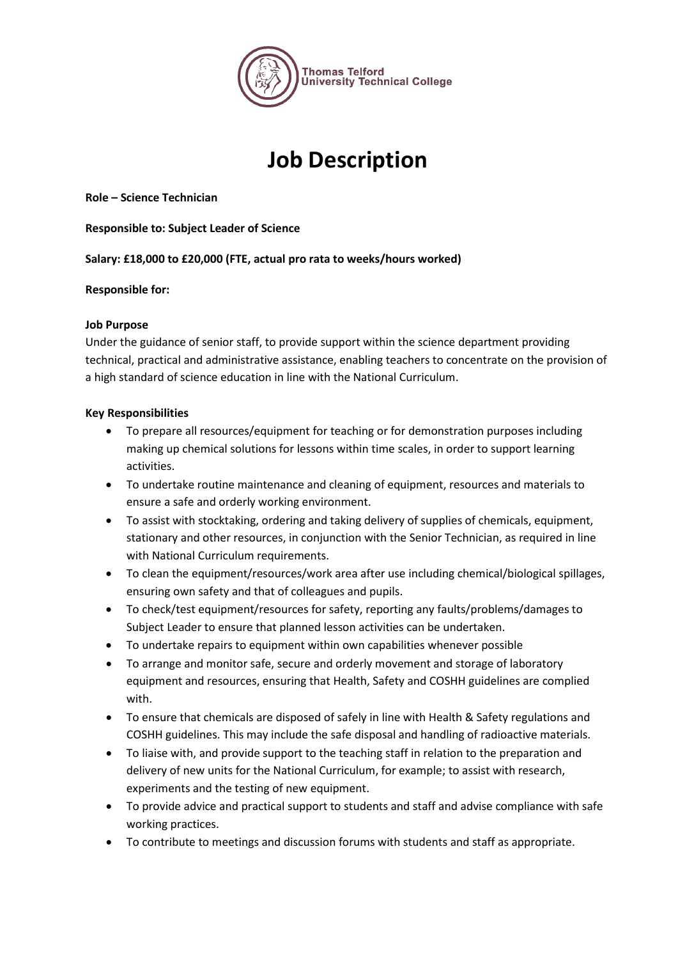

# **Job Description**

**Role – Science Technician**

**Responsible to: Subject Leader of Science**

**Salary: £18,000 to £20,000 (FTE, actual pro rata to weeks/hours worked)**

## **Responsible for:**

## **Job Purpose**

Under the guidance of senior staff, to provide support within the science department providing technical, practical and administrative assistance, enabling teachers to concentrate on the provision of a high standard of science education in line with the National Curriculum.

## **Key Responsibilities**

- To prepare all resources/equipment for teaching or for demonstration purposes including making up chemical solutions for lessons within time scales, in order to support learning activities.
- To undertake routine maintenance and cleaning of equipment, resources and materials to ensure a safe and orderly working environment.
- To assist with stocktaking, ordering and taking delivery of supplies of chemicals, equipment, stationary and other resources, in conjunction with the Senior Technician, as required in line with National Curriculum requirements.
- To clean the equipment/resources/work area after use including chemical/biological spillages, ensuring own safety and that of colleagues and pupils.
- To check/test equipment/resources for safety, reporting any faults/problems/damages to Subject Leader to ensure that planned lesson activities can be undertaken.
- To undertake repairs to equipment within own capabilities whenever possible
- To arrange and monitor safe, secure and orderly movement and storage of laboratory equipment and resources, ensuring that Health, Safety and COSHH guidelines are complied with.
- To ensure that chemicals are disposed of safely in line with Health & Safety regulations and COSHH guidelines. This may include the safe disposal and handling of radioactive materials.
- To liaise with, and provide support to the teaching staff in relation to the preparation and delivery of new units for the National Curriculum, for example; to assist with research, experiments and the testing of new equipment.
- To provide advice and practical support to students and staff and advise compliance with safe working practices.
- To contribute to meetings and discussion forums with students and staff as appropriate.